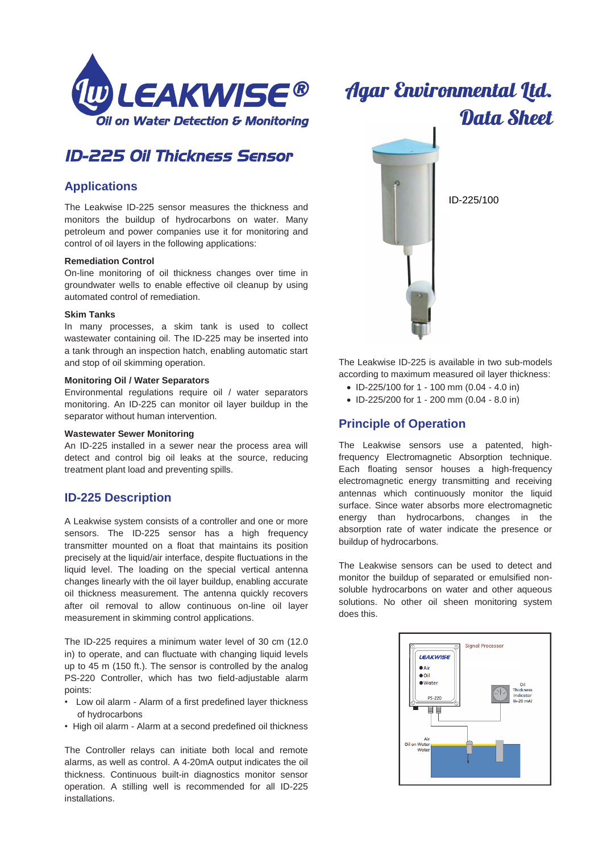

## *ID-225 Oil Thickness Sensor*

## **Applications**

The Leakwise ID-225 sensor measures the thickness and monitors the buildup of hydrocarbons on water. Many petroleum and power companies use it for monitoring and control of oil layers in the following applications:

#### **Remediation Control**

On-line monitoring of oil thickness changes over time in groundwater wells to enable effective oil cleanup by using automated control of remediation.

#### **Skim Tanks**

In many processes, a skim tank is used to collect wastewater containing oil. The ID-225 may be inserted into a tank through an inspection hatch, enabling automatic start and stop of oil skimming operation.

#### **Monitoring Oil / Water Separators**

Environmental regulations require oil / water separators monitoring. An ID-225 can monitor oil layer buildup in the separator without human intervention.

#### **Wastewater Sewer Monitoring**

An ID-225 installed in a sewer near the process area will detect and control big oil leaks at the source, reducing treatment plant load and preventing spills.

## **ID-225 Description**

A Leakwise system consists of a controller and one or more sensors. The ID-225 sensor has a high frequency transmitter mounted on a float that maintains its position precisely at the liquid/air interface, despite fluctuations in the liquid level. The loading on the special vertical antenna changes linearly with the oil layer buildup, enabling accurate oil thickness measurement. The antenna quickly recovers after oil removal to allow continuous on-line oil layer measurement in skimming control applications.

The ID-225 requires a minimum water level of 30 cm (12.0 in) to operate, and can fluctuate with changing liquid levels up to 45 m (150 ft.). The sensor is controlled by the analog PS-220 Controller, which has two field-adjustable alarm points:

- Low oil alarm Alarm of a first predefined layer thickness of hydrocarbons
- High oil alarm Alarm at a second predefined oil thickness

The Controller relays can initiate both local and remote alarms, as well as control. A 4-20mA output indicates the oil thickness. Continuous built-in diagnostics monitor sensor operation. A stilling well is recommended for all ID-225 installations.

# **Agar Environmental Ltd.** Data Sheet



The Leakwise ID-225 is available in two sub-models according to maximum measured oil layer thickness:

- ID-225/100 for 1 100 mm (0.04 4.0 in)
- ID-225/200 for 1 200 mm (0.04 8.0 in)

## **Principle of Operation**

The Leakwise sensors use a patented, highfrequency Electromagnetic Absorption technique. Each floating sensor houses a high-frequency electromagnetic energy transmitting and receiving antennas which continuously monitor the liquid surface. Since water absorbs more electromagnetic energy than hydrocarbons, changes in the absorption rate of water indicate the presence or buildup of hydrocarbons.

The Leakwise sensors can be used to detect and monitor the buildup of separated or emulsified nonsoluble hydrocarbons on water and other aqueous solutions. No other oil sheen monitoring system does this.